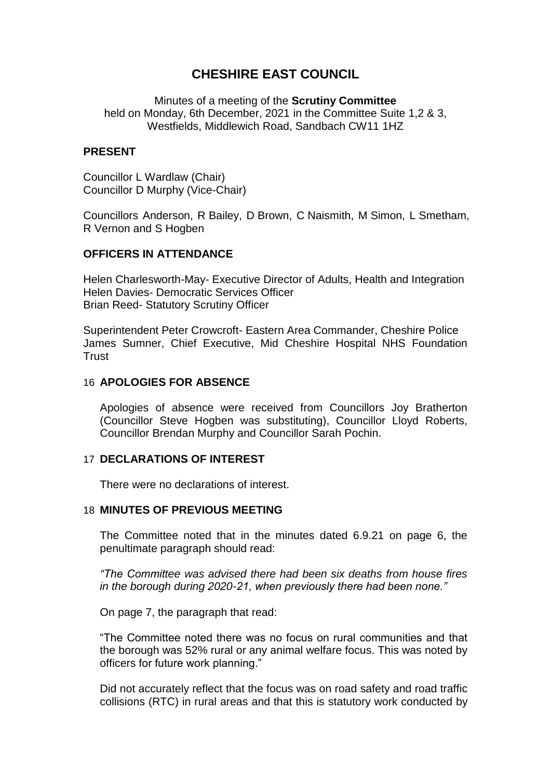# **CHESHIRE EAST COUNCIL**

Minutes of a meeting of the **Scrutiny Committee** held on Monday, 6th December, 2021 in the Committee Suite 1,2 & 3, Westfields, Middlewich Road, Sandbach CW11 1HZ

#### **PRESENT**

Councillor L Wardlaw (Chair) Councillor D Murphy (Vice-Chair)

Councillors Anderson, R Bailey, D Brown, C Naismith, M Simon, L Smetham, R Vernon and S Hogben

# **OFFICERS IN ATTENDANCE**

Helen Charlesworth-May- Executive Director of Adults, Health and Integration Helen Davies- Democratic Services Officer Brian Reed- Statutory Scrutiny Officer

Superintendent Peter Crowcroft- Eastern Area Commander, Cheshire Police James Sumner, Chief Executive, Mid Cheshire Hospital NHS Foundation **Trust** 

#### 16 **APOLOGIES FOR ABSENCE**

Apologies of absence were received from Councillors Joy Bratherton (Councillor Steve Hogben was substituting), Councillor Lloyd Roberts, Councillor Brendan Murphy and Councillor Sarah Pochin.

#### 17 **DECLARATIONS OF INTEREST**

There were no declarations of interest.

#### 18 **MINUTES OF PREVIOUS MEETING**

The Committee noted that in the minutes dated 6.9.21 on page 6, the penultimate paragraph should read:

*"The Committee was advised there had been six deaths from house fires in the borough during 2020-21, when previously there had been none."*

On page 7, the paragraph that read:

"The Committee noted there was no focus on rural communities and that the borough was 52% rural or any animal welfare focus. This was noted by officers for future work planning."

Did not accurately reflect that the focus was on road safety and road traffic collisions (RTC) in rural areas and that this is statutory work conducted by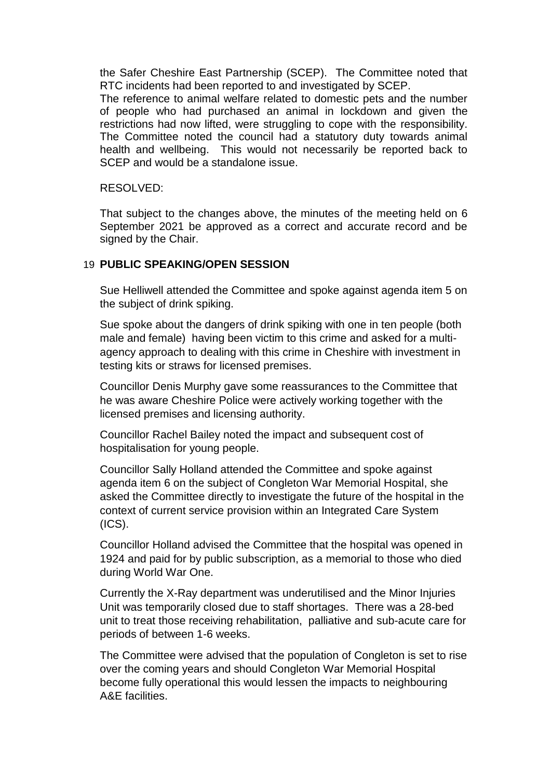the Safer Cheshire East Partnership (SCEP). The Committee noted that RTC incidents had been reported to and investigated by SCEP.

The reference to animal welfare related to domestic pets and the number of people who had purchased an animal in lockdown and given the restrictions had now lifted, were struggling to cope with the responsibility. The Committee noted the council had a statutory duty towards animal health and wellbeing. This would not necessarily be reported back to SCEP and would be a standalone issue.

#### RESOLVED:

That subject to the changes above, the minutes of the meeting held on 6 September 2021 be approved as a correct and accurate record and be signed by the Chair.

# 19 **PUBLIC SPEAKING/OPEN SESSION**

Sue Helliwell attended the Committee and spoke against agenda item 5 on the subject of drink spiking.

Sue spoke about the dangers of drink spiking with one in ten people (both male and female) having been victim to this crime and asked for a multiagency approach to dealing with this crime in Cheshire with investment in testing kits or straws for licensed premises.

Councillor Denis Murphy gave some reassurances to the Committee that he was aware Cheshire Police were actively working together with the licensed premises and licensing authority.

Councillor Rachel Bailey noted the impact and subsequent cost of hospitalisation for young people.

Councillor Sally Holland attended the Committee and spoke against agenda item 6 on the subject of Congleton War Memorial Hospital, she asked the Committee directly to investigate the future of the hospital in the context of current service provision within an Integrated Care System (ICS).

Councillor Holland advised the Committee that the hospital was opened in 1924 and paid for by public subscription, as a memorial to those who died during World War One.

Currently the X-Ray department was underutilised and the Minor Injuries Unit was temporarily closed due to staff shortages. There was a 28-bed unit to treat those receiving rehabilitation, palliative and sub-acute care for periods of between 1-6 weeks.

The Committee were advised that the population of Congleton is set to rise over the coming years and should Congleton War Memorial Hospital become fully operational this would lessen the impacts to neighbouring A&E facilities.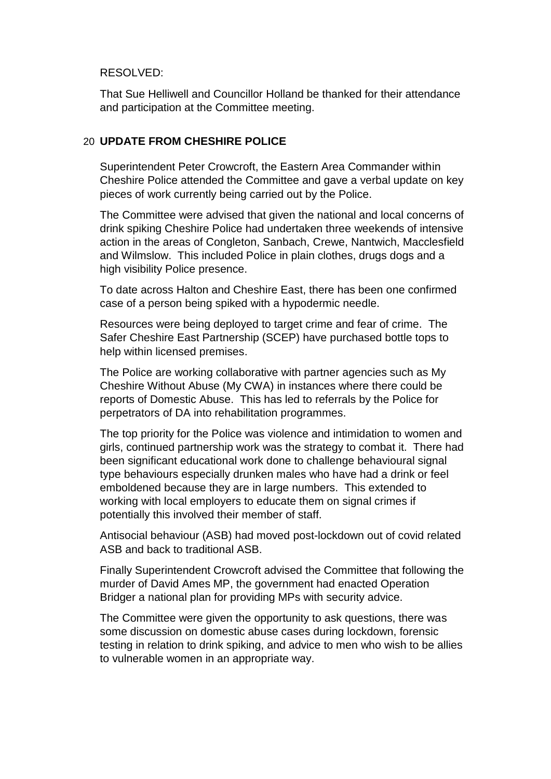#### RESOLVED:

That Sue Helliwell and Councillor Holland be thanked for their attendance and participation at the Committee meeting.

# 20 **UPDATE FROM CHESHIRE POLICE**

Superintendent Peter Crowcroft, the Eastern Area Commander within Cheshire Police attended the Committee and gave a verbal update on key pieces of work currently being carried out by the Police.

The Committee were advised that given the national and local concerns of drink spiking Cheshire Police had undertaken three weekends of intensive action in the areas of Congleton, Sanbach, Crewe, Nantwich, Macclesfield and Wilmslow. This included Police in plain clothes, drugs dogs and a high visibility Police presence.

To date across Halton and Cheshire East, there has been one confirmed case of a person being spiked with a hypodermic needle.

Resources were being deployed to target crime and fear of crime. The Safer Cheshire East Partnership (SCEP) have purchased bottle tops to help within licensed premises.

The Police are working collaborative with partner agencies such as My Cheshire Without Abuse (My CWA) in instances where there could be reports of Domestic Abuse. This has led to referrals by the Police for perpetrators of DA into rehabilitation programmes.

The top priority for the Police was violence and intimidation to women and girls, continued partnership work was the strategy to combat it. There had been significant educational work done to challenge behavioural signal type behaviours especially drunken males who have had a drink or feel emboldened because they are in large numbers. This extended to working with local employers to educate them on signal crimes if potentially this involved their member of staff.

Antisocial behaviour (ASB) had moved post-lockdown out of covid related ASB and back to traditional ASB.

Finally Superintendent Crowcroft advised the Committee that following the murder of David Ames MP, the government had enacted Operation Bridger a national plan for providing MPs with security advice.

The Committee were given the opportunity to ask questions, there was some discussion on domestic abuse cases during lockdown, forensic testing in relation to drink spiking, and advice to men who wish to be allies to vulnerable women in an appropriate way.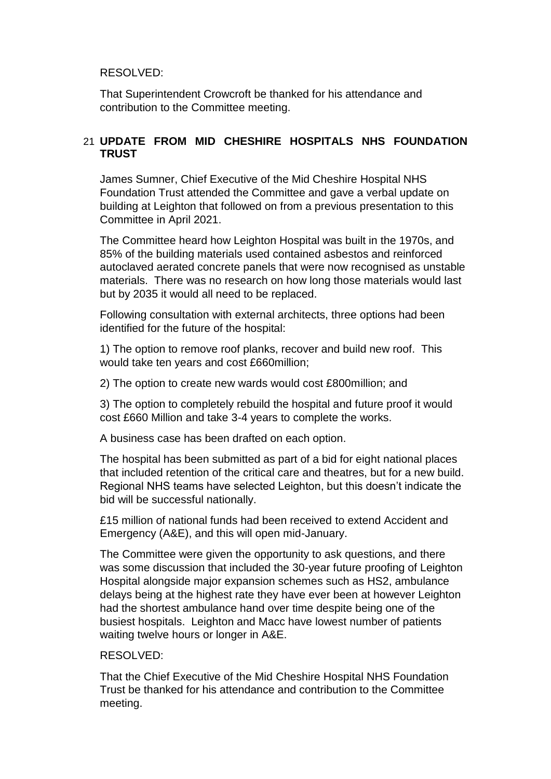# RESOLVED:

That Superintendent Crowcroft be thanked for his attendance and contribution to the Committee meeting.

# 21 **UPDATE FROM MID CHESHIRE HOSPITALS NHS FOUNDATION TRUST**

James Sumner, Chief Executive of the Mid Cheshire Hospital NHS Foundation Trust attended the Committee and gave a verbal update on building at Leighton that followed on from a previous presentation to this Committee in April 2021.

The Committee heard how Leighton Hospital was built in the 1970s, and 85% of the building materials used contained asbestos and reinforced autoclaved aerated concrete panels that were now recognised as unstable materials. There was no research on how long those materials would last but by 2035 it would all need to be replaced.

Following consultation with external architects, three options had been identified for the future of the hospital:

1) The option to remove roof planks, recover and build new roof. This would take ten years and cost £660million;

2) The option to create new wards would cost £800million; and

3) The option to completely rebuild the hospital and future proof it would cost £660 Million and take 3-4 years to complete the works.

A business case has been drafted on each option.

The hospital has been submitted as part of a bid for eight national places that included retention of the critical care and theatres, but for a new build. Regional NHS teams have selected Leighton, but this doesn't indicate the bid will be successful nationally.

£15 million of national funds had been received to extend Accident and Emergency (A&E), and this will open mid-January.

The Committee were given the opportunity to ask questions, and there was some discussion that included the 30-year future proofing of Leighton Hospital alongside major expansion schemes such as HS2, ambulance delays being at the highest rate they have ever been at however Leighton had the shortest ambulance hand over time despite being one of the busiest hospitals. Leighton and Macc have lowest number of patients waiting twelve hours or longer in A&E.

# RESOLVED:

That the Chief Executive of the Mid Cheshire Hospital NHS Foundation Trust be thanked for his attendance and contribution to the Committee meeting.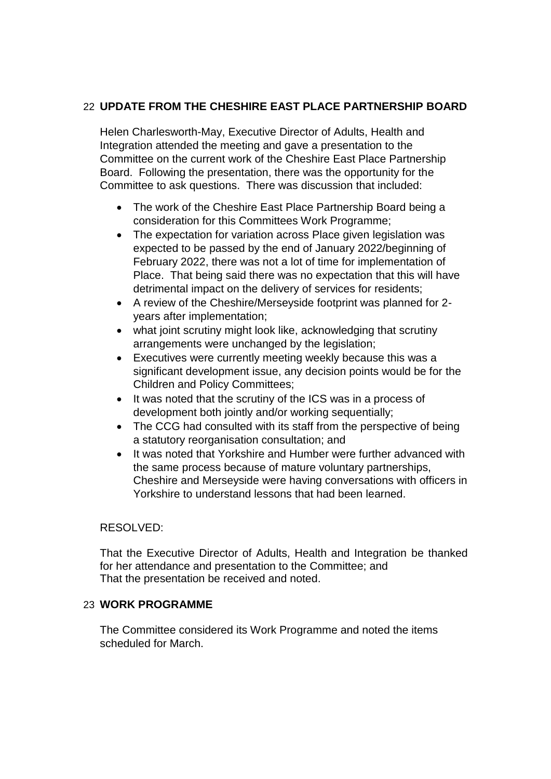# 22 **UPDATE FROM THE CHESHIRE EAST PLACE PARTNERSHIP BOARD**

Helen Charlesworth-May, Executive Director of Adults, Health and Integration attended the meeting and gave a presentation to the Committee on the current work of the Cheshire East Place Partnership Board. Following the presentation, there was the opportunity for the Committee to ask questions. There was discussion that included:

- The work of the Cheshire East Place Partnership Board being a consideration for this Committees Work Programme;
- The expectation for variation across Place given legislation was expected to be passed by the end of January 2022/beginning of February 2022, there was not a lot of time for implementation of Place. That being said there was no expectation that this will have detrimental impact on the delivery of services for residents;
- A review of the Cheshire/Merseyside footprint was planned for 2 years after implementation;
- what joint scrutiny might look like, acknowledging that scrutiny arrangements were unchanged by the legislation;
- Executives were currently meeting weekly because this was a significant development issue, any decision points would be for the Children and Policy Committees;
- It was noted that the scrutiny of the ICS was in a process of development both jointly and/or working sequentially;
- The CCG had consulted with its staff from the perspective of being a statutory reorganisation consultation; and
- It was noted that Yorkshire and Humber were further advanced with the same process because of mature voluntary partnerships, Cheshire and Merseyside were having conversations with officers in Yorkshire to understand lessons that had been learned.

# RESOLVED:

That the Executive Director of Adults, Health and Integration be thanked for her attendance and presentation to the Committee; and That the presentation be received and noted.

# 23 **WORK PROGRAMME**

The Committee considered its Work Programme and noted the items scheduled for March.